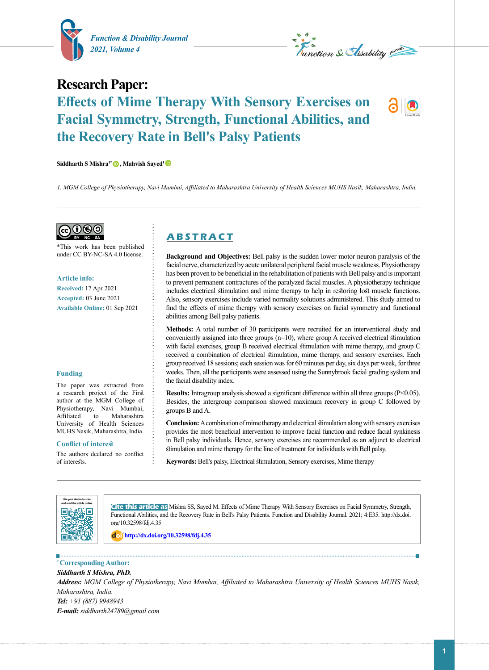



# **Research Paper: Effects of Mime Therapy With Sensory Exercises on Facial Symmetry, Strength, Functional Abilities, and the Recovery Rate in Bell's Palsy Patients**

**Siddharth S Mishra1[\\*](https://orcid.org/0000-0003-1627-1377) , Mahvish Sayed[1](https://orcid.org/0000-0001-6775-3726)** 

*1. MGM College of Physiotherapy, Navi Mumbai, Affiliated to Maharashtra University of Health Sciences MUHS Nasik, Maharashtra, India.*

ெடு

\*This work has been published under CC BY-NC-SA 4.0 license.

**Article info:**

**Received:** 17 Apr 2021 **Accepted:** 03 June 2021 **Available Online:** 01 Sep 2021

#### **Funding**

The paper was extracted from a research project of the First author at the MGM College of Physiotherapy, Navi Mumbai, Affiliated to University of Health Sciences MUHS Nasik, Maharashtra, India.

#### **Conflict of interest**

The authors declared no conflict of interests.

# **A B S T R A C T**

**Background and Objectives:** Bell palsy is the sudden lower motor neuron paralysis of the facial nerve, characterized by acute unilateral peripheral facial muscle weakness. Physiotherapy has been proven to be beneficial in the rehabilitation of patients with Bell palsy and is important to prevent permanent contractures of the paralyzed facial muscles. A physiotherapy technique includes electrical stimulation and mime therapy to help in restoring lost muscle functions. Also, sensory exercises include varied normality solutions administered. This study aimed to find the effects of mime therapy with sensory exercises on facial symmetry and functional abilities among Bell palsy patients.

**Methods:** A total number of 30 participants were recruited for an interventional study and conveniently assigned into three groups (n=10), where group A received electrical stimulation with facial exercises, group B received electrical stimulation with mime therapy, and group C received a combination of electrical stimulation, mime therapy, and sensory exercises. Each group received 18 sessions; each session was for 60 minutes per day, six days per week, for three weeks. Then, all the participants were assessed using the Sunnybrook facial grading system and the facial disability index.

**Results:** Intragroup analysis showed a significant difference within all three groups (P<0.05). Besides, the intergroup comparison showed maximum recovery in group C followed by groups B and A.

**Conclusion:** A combination of mime therapy and electrical stimulation along with sensory exercises provides the most beneficial intervention to improve facial function and reduce facial synkinesis in Bell palsy individuals. Hence, sensory exercises are recommended as an adjunct to electrical stimulation and mime therapy for the line of treatment for individuals with Bell palsy.

**Keywords:** Bell's palsy, Electrical stimulation, Sensory exercises, Mime therapy



**Cite this article as** Mishra SS, Sayed M. Effects of Mime Therapy With Sensory Exercises on Facial Symmetry, Strength, Functional Abilities, and the Recovery Rate in Bell's Palsy Patients. Function and Disability Journal. 2021; 4:E35. http://dx.doi. org/10.32598/fdj.4.35

: **<http://dx.doi.org/10.32598/fdj.4.35>**

**\* Corresponding Author:**

*Siddharth S Mishra, PhD.*

*Address: MGM College of Physiotherapy, Navi Mumbai, Affiliated to Maharashtra University of Health Sciences MUHS Nasik, Maharashtra, India. Tel: +91 (887) 9948943*

*E-mail: [siddharth24789@gmail.com](mailto:siddharth24789@gmail.com)*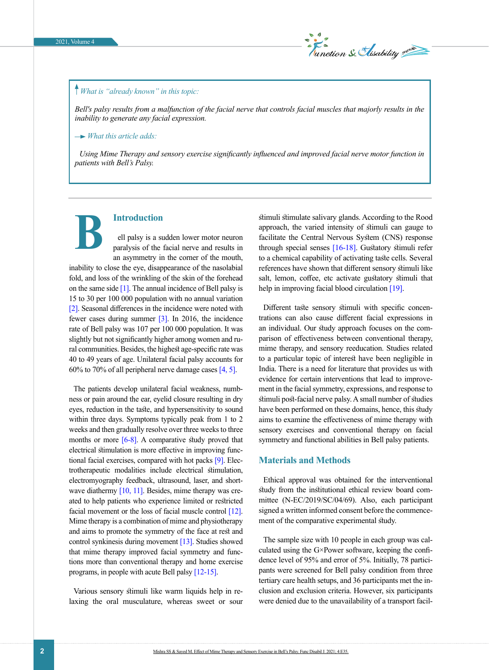

## *What is "already known" in this topic:*

*Bell's palsy results from a malfunction of the facial nerve that controls facial muscles that majorly results in the inability to generate any facial expression.*

 *What this article adds:*

**B**

*Using Mime Therapy and sensory exercise significantly influenced and improved facial nerve motor function in patients with Bell's Palsy.*

**Introduction**

ell palsy is a sudden lower motor neuron paralysis of the facial nerve and results in an asymmetry in the corner of the mouth,

inability to close the eye, disappearance of the nasolabial fold, and loss of the wrinkling of the skin of the forehead on the same side [\[1\].](#page-7-0) The annual incidence of Bell palsy is 15 to 30 per 100 000 population with no annual variation [\[2\].](#page-7-1) Seasonal differences in the incidence were noted with fewer cases during summer [\[3\].](#page-7-2) In 2016, the incidence rate of Bell palsy was 107 per 100 000 population. It was slightly but not significantly higher among women and rural communities. Besides, the highest age-specific rate was 40 to 49 years of age. Unilateral facial palsy accounts for 60% to 70% of all peripheral nerve damage cases [4, 5].

The patients develop unilateral facial weakness, numbness or pain around the ear, eyelid closure resulting in dry eyes, reduction in the taste, and hypersensitivity to sound within three days. Symptoms typically peak from 1 to 2 weeks and then gradually resolve over three weeks to three months or more [\[6-8\]](#page-7-3). A comparative study proved that electrical stimulation is more effective in improving functional facial exercises, compared with hot packs [9]. Electrotherapeutic modalities include electrical stimulation, electromyography feedback, ultrasound, laser, and shortwave diathermy [10, 11]. Besides, mime therapy was created to help patients who experience limited or restricted facial movement or the loss of facial muscle control [\[12\]](#page-7-4). Mime therapy is a combination of mime and physiotherapy and aims to promote the symmetry of the face at rest and control synkinesis during movement [\[13\].](#page-7-5) Studies showed that mime therapy improved facial symmetry and functions more than conventional therapy and home exercise programs, in people with acute Bell palsy [\[12-15\]](#page-7-4).

Various sensory stimuli like warm liquids help in relaxing the oral musculature, whereas sweet or sour

stimuli stimulate salivary glands. According to the Rood approach, the varied intensity of stimuli can gauge to facilitate the Central Nervous System (CNS) response through special senses [\[16-18\].](#page-7-6) Gustatory stimuli refer to a chemical capability of activating taste cells. Several references have shown that different sensory stimuli like salt, lemon, coffee, etc activate gustatory stimuli that help in improving facial blood circulation [\[19\]](#page-7-7).

Different taste sensory stimuli with specific concentrations can also cause different facial expressions in an individual. Our study approach focuses on the comparison of effectiveness between conventional therapy, mime therapy, and sensory reeducation. Studies related to a particular topic of interest have been negligible in India. There is a need for literature that provides us with evidence for certain interventions that lead to improvement in the facial symmetry, expressions, and response to stimuli post-facial nerve palsy. A small number of studies have been performed on these domains, hence, this study aims to examine the effectiveness of mime therapy with sensory exercises and conventional therapy on facial symmetry and functional abilities in Bell palsy patients.

#### **Materials and Methods**

Ethical approval was obtained for the interventional study from the institutional ethical review board committee (N-EC/2019/SC/04/69). Also, each participant signed a written informed consent before the commencement of the comparative experimental study.

The sample size with 10 people in each group was calculated using the G×Power software, keeping the confidence level of 95% and error of 5%. Initially, 78 participants were screened for Bell palsy condition from three tertiary care health setups, and 36 participants met the inclusion and exclusion criteria. However, six participants were denied due to the unavailability of a transport facil-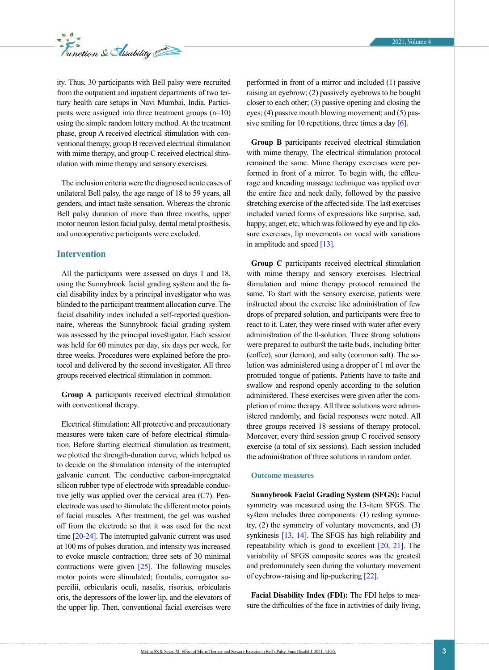

ity. Thus, 30 participants with Bell palsy were recruited from the outpatient and inpatient departments of two tertiary health care setups in Navi Mumbai, India. Participants were assigned into three treatment groups  $(n=10)$ using the simple random lottery method. At the treatment phase, group A received electrical stimulation with conventional therapy, group B received electrical stimulation with mime therapy, and group C received electrical stimulation with mime therapy and sensory exercises.

The inclusion criteria were the diagnosed acute cases of unilateral Bell palsy, the age range of 18 to 59 years, all genders, and intact taste sensation. Whereas the chronic Bell palsy duration of more than three months, upper motor neuron lesion facial palsy, dental metal prosthesis, and uncooperative participants were excluded.

#### **Intervention**

All the participants were assessed on days 1 and 18, using the Sunnybrook facial grading system and the facial disability index by a principal investigator who was blinded to the participant treatment allocation curve. The facial disability index included a self-reported questionnaire, whereas the Sunnybrook facial grading system was assessed by the principal investigator. Each session was held for 60 minutes per day, six days per week, for three weeks. Procedures were explained before the protocol and delivered by the second investigator. All three groups received electrical stimulation in common.

**Group A** participants received electrical stimulation with conventional therapy.

Electrical stimulation: All protective and precautionary measures were taken care of before electrical stimulation. Before starting electrical stimulation as treatment, we plotted the strength-duration curve, which helped us to decide on the stimulation intensity of the interrupted galvanic current. The conductive carbon-impregnated silicon rubber type of electrode with spreadable conductive jelly was applied over the cervical area (C7). Penelectrode was used to stimulate the different motor points of facial muscles. After treatment, the gel was washed off from the electrode so that it was used for the next time [\[20-24\].](#page-7-8) The interrupted galvanic current was used at 100 ms of pulses duration, and intensity was increased to evoke muscle contraction; three sets of 30 minimal contractions were given  $[25]$ . The following muscles motor points were stimulated; frontalis, corrugator supercilii, orbicularis oculi, nasalis, risorius, orbicularis oris, the depressors of the lower lip, and the elevators of the upper lip. Then, conventional facial exercises were

performed in front of a mirror and included (1) passive raising an eyebrow; (2) passively eyebrows to be bought closer to each other; (3) passive opening and closing the eyes; (4) passive mouth blowing movement; and (5) passive smiling for 10 repetitions, three times a day  $[6]$ .

**Group B** participants received electrical stimulation with mime therapy. The electrical stimulation protocol remained the same. Mime therapy exercises were performed in front of a mirror. To begin with, the effleurage and kneading massage technique was applied over the entire face and neck daily, followed by the passive stretching exercise of the affected side. The last exercises included varied forms of expressions like surprise, sad, happy, anger, etc, which was followed by eye and lip closure exercises, lip movements on vocal with variations in amplitude and speed [\[13\]](#page-7-5).

**Group C** participants received electrical stimulation with mime therapy and sensory exercises. Electrical stimulation and mime therapy protocol remained the same. To start with the sensory exercise, patients were instructed about the exercise like administration of few drops of prepared solution, and participants were free to react to it. Later, they were rinsed with water after every administration of the 0-solution. Three strong solutions were prepared to outburst the taste buds, including bitter (coffee), sour (lemon), and salty (common salt). The solution was administered using a dropper of 1 ml over the protruded tongue of patients. Patients have to taste and swallow and respond openly according to the solution administered. These exercises were given after the completion of mime therapy. All three solutions were administered randomly, and facial responses were noted. All three groups received 18 sessions of therapy protocol. Moreover, every third session group C received sensory exercise (a total of six sessions). Each session included the administration of three solutions in random order.

#### **Outcome measures**

**Sunnybrook Facial Grading System (SFGS):** Facial symmetry was measured using the 13-item SFGS. The system includes three components: (1) resting symmetry, (2) the symmetry of voluntary movements, and (3) synkinesis [\[13,](#page-7-5) [14\].](#page-7-9) The SFGS has high reliability and repeatability which is good to excellent  $[20, 21]$  $[20, 21]$ . The variability of SFGS composite scores was the greatest and predominately seen during the voluntary movement of eyebrow-raising and lip-puckering [\[22\]](#page-8-0).

**Facial Disability Index (FDI):** The FDI helps to measure the difficulties of the face in activities of daily living,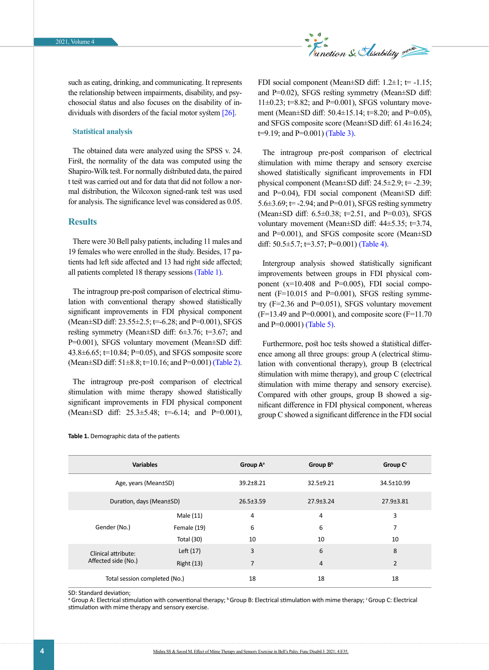

such as eating, drinking, and communicating. It represents the relationship between impairments, disability, and psychosocial status and also focuses on the disability of individuals with disorders of the facial motor system [26].

#### **Statistical analysis**

The obtained data were analyzed using the SPSS v. 24. First, the normality of the data was computed using the Shapiro-Wilk test. For normally distributed data, the paired t test was carried out and for data that did not follow a normal distribution, the Wilcoxon signed-rank test was used for analysis. The significance level was considered as 0.05.

#### **Results**

There were 30 Bell palsy patients, including 11 males and 19 females who were enrolled in the study. Besides, 17 patients had left side affected and 13 had right side affected; all patients completed 18 therapy sessions [\(Table 1\)](#page-3-0).

The intragroup pre-post comparison of electrical stimulation with conventional therapy showed statistically significant improvements in FDI physical component (Mean $\pm$ SD diff: 23.55 $\pm$ 2.5; t=-6.28; and P=0.001), SFGS resting symmetry (Mean±SD diff: 6±3.76; t=3.67; and P=0.001), SFGS voluntary movement (Mean±SD diff:  $43.8\pm 6.65$ ;  $t=10.84$ ; P=0.05), and SFGS somposite score (Mean $\pm$ SD diff: 51 $\pm$ 8.8; t=10.16; and P=0.001) [\(Table 2\)](#page-4-0).

The intragroup pre-post comparison of electrical stimulation with mime therapy showed statistically significant improvements in FDI physical component (Mean $\pm$ SD diff: 25.3 $\pm$ 5.48; t=-6.14; and P=0.001),

FDI social component (Mean $\pm$ SD diff: 1.2 $\pm$ 1; t= -1.15; and P=0.02), SFGS resting symmetry (Mean±SD diff:  $11\pm0.23$ ;  $t=8.82$ ; and P=0.001), SFGS voluntary movement (Mean±SD diff: 50.4±15.14; t=8.20; and P=0.05), and SFGS composite score (Mean±SD diff: 61.4±16.24;  $t=9.19$ ; and  $P=0.001$ ) [\(Table 3\)](#page-4-1).

The intragroup pre-post comparison of electrical stimulation with mime therapy and sensory exercise showed statistically significant improvements in FDI physical component (Mean $\pm$ SD diff: 24.5 $\pm$ 2.9; t= -2.39; and P=0.04), FDI social component (Mean±SD diff: 5.6 $\pm$ 3.69;  $t$  = -2.94; and P=0.01), SFGS resting symmetry (Mean±SD diff: 6.5±0.38; t=2.51, and P=0.03), SFGS voluntary movement (Mean±SD diff: 44±5.35; t=3.74, and P=0.001), and SFGS composite score (Mean±SD diff:  $50.5 \pm 5.7$ ;  $t=3.57$ ;  $P=0.001$ ) [\(Table 4\)](#page-4-2).

Intergroup analysis showed statistically significant improvements between groups in FDI physical component  $(x=10.408$  and  $P=0.005$ ), FDI social component (F=10.015 and P=0.001), SFGS resting symmetry (F=2.36 and P=0.051), SFGS voluntary movement  $(F=13.49$  and P=0.0001), and composite score  $(F=11.70$ and P=0.0001) [\(Table 5\)](#page-5-0).

Furthermore, post hoc tests showed a statistical difference among all three groups: group A (electrical stimulation with conventional therapy), group B (electrical stimulation with mime therapy), and group C (electrical stimulation with mime therapy and sensory exercise). Compared with other groups, group B showed a significant difference in FDI physical component, whereas group C showed a significant difference in the FDI social

| <b>Variables</b>              |                          | Group A <sup>a</sup> | Group $B^b$     | Group C <sup>c</sup> |
|-------------------------------|--------------------------|----------------------|-----------------|----------------------|
| Age, years (Mean±SD)          |                          | 39.2±8.21            | 32.5±9.21       | 34.5±10.99           |
|                               | Duration, days (Mean±SD) |                      | $27.9 \pm 3.24$ | 27.9±3.81            |
|                               | Male (11)                | 4                    | 4               | 3                    |
| Gender (No.)                  | Female (19)              | 6                    | 6               | 7                    |
|                               | Total (30)               | 10                   | 10              | 10                   |
| Clinical attribute:           | Left (17)                | 3                    | 6               | 8                    |
| Affected side (No.)           | <b>Right (13)</b>        | $\overline{7}$       | $\overline{4}$  | $\overline{2}$       |
| Total session completed (No.) |                          | 18                   | 18              | 18                   |

#### <span id="page-3-0"></span>**Table 1.** Demographic data of the patients

#### SD: Standard deviation;

<sup>a</sup> Group A: Electrical stimulation with conventional therapy; <sup>b</sup> Group B: Electrical stimulation with mime therapy; <sup>c</sup> Group C: Electrical stimulation with mime therapy and sensory exercise.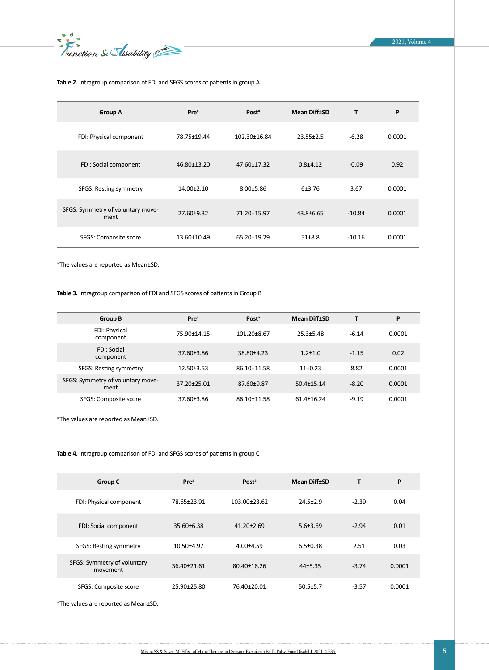EX

#### <span id="page-4-0"></span>**Table 2.** Intragroup comparison of FDI and SFGS scores of patients in group A

| <b>Group A</b>                            | <b>Pre</b> <sup>a</sup> | Post <sup>a</sup> | <b>Mean Diff±SD</b> | T        | P      |
|-------------------------------------------|-------------------------|-------------------|---------------------|----------|--------|
| FDI: Physical component                   | 78.75±19.44             | 102.30±16.84      | $23.55 \pm 2.5$     | $-6.28$  | 0.0001 |
| FDI: Social component                     | 46.80±13.20             | 47.60±17.32       | $0.8 + 4.12$        | $-0.09$  | 0.92   |
| SFGS: Resting symmetry                    | $14.00 \pm 2.10$        | $8.00 + 5.86$     | 6±3.76              | 3.67     | 0.0001 |
| SFGS: Symmetry of voluntary move-<br>ment | 27.60±9.32              | 71.20±15.97       | $43.8 \pm 6.65$     | $-10.84$ | 0.0001 |
| SFGS: Composite score                     | 13.60±10.49             | 65.20±19.29       | $51 + 8.8$          | $-10.16$ | 0.0001 |

<sup>a</sup>The values are reported as Mean±SD.

#### <span id="page-4-1"></span>**Table 3.** Intragroup comparison of FDI and SFGS scores of patients in Group B

| Group B                                   | <b>Pre</b> <sup>a</sup> | Post <sup>a</sup> | <b>Mean Diff±SD</b> | т       | P      |
|-------------------------------------------|-------------------------|-------------------|---------------------|---------|--------|
| FDI: Physical<br>component                | 75.90±14.15             | $101.20 \pm 8.67$ | $25.3 + 5.48$       | $-6.14$ | 0.0001 |
| <b>FDI: Social</b><br>component           | 37.60±3.86              | 38.80±4.23        | $1.2 \pm 1.0$       | $-1.15$ | 0.02   |
| SFGS: Resting symmetry                    | $12.50 \pm 3.53$        | 86.10±11.58       | $11+0.23$           | 8.82    | 0.0001 |
| SFGS: Symmetry of voluntary move-<br>ment | 37.20±25.01             | 87.60±9.87        | $50.4 \pm 15.14$    | $-8.20$ | 0.0001 |
| SFGS: Composite score                     | 37.60±3.86              | 86.10±11.58       | 61.4±16.24          | $-9.19$ | 0.0001 |

<sup>a</sup>The values are reported as Mean±SD.

#### <span id="page-4-2"></span>**Table 4.** Intragroup comparison of FDI and SFGS scores of patients in group C

| <b>Group C</b>                          | <b>Pre</b> <sup>a</sup> | Post <sup>a</sup> | <b>Mean Diff±SD</b> | Т       | P      |
|-----------------------------------------|-------------------------|-------------------|---------------------|---------|--------|
| FDI: Physical component                 | 78.65±23.91             | 103.00±23.62      | $24.5 + 2.9$        | $-2.39$ | 0.04   |
| FDI: Social component                   | $35.60 \pm 6.38$        | $41.20 \pm 2.69$  | $5.6 \pm 3.69$      | $-2.94$ | 0.01   |
| SFGS: Resting symmetry                  | 10.50±4.97              | $4.00 + 4.59$     | $6.5 \pm 0.38$      | 2.51    | 0.03   |
| SFGS: Symmetry of voluntary<br>movement | 36.40±21.61             | 80.40±16.26       | $44+5.35$           | $-3.74$ | 0.0001 |
| SFGS: Composite score                   | 25.90±25.80             | 76.40±20.01       | $50.5 \pm 5.7$      | $-3.57$ | 0.0001 |

<sup>a</sup>The values are reported as Mean±SD.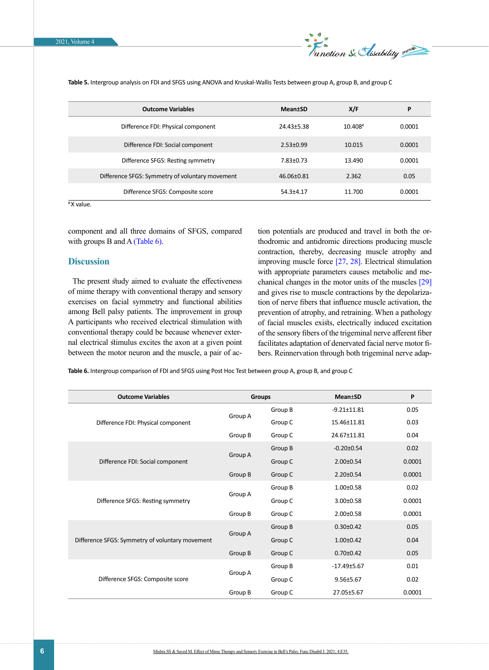

| <b>Outcome Variables</b>                        | <b>Mean</b> tSD | X/F     | P      |
|-------------------------------------------------|-----------------|---------|--------|
| Difference FDI: Physical component              | 24.43±5.38      | 10.408# | 0.0001 |
| Difference FDI: Social component                | $2.53 \pm 0.99$ | 10.015  | 0.0001 |
| Difference SFGS: Resting symmetry               | $7.83 \pm 0.73$ | 13.490  | 0.0001 |
| Difference SFGS: Symmetry of voluntary movement | 46.06±0.81      | 2.362   | 0.05   |
| Difference SFGS: Composite score                | $54.3 + 4.17$   | 11.700  | 0.0001 |

<span id="page-5-0"></span>**Table 5.** Intergroup analysis on FDI and SFGS using ANOVA and Kruskal-Wallis Tests between group A, group B, and group C

# X value.

component and all three domains of SFGS, compared with groups B and A [\(Table 6\)](#page-5-1).

#### **Discussion**

The present study aimed to evaluate the effectiveness of mime therapy with conventional therapy and sensory exercises on facial symmetry and functional abilities among Bell palsy patients. The improvement in group A participants who received electrical stimulation with conventional therapy could be because whenever external electrical stimulus excites the axon at a given point between the motor neuron and the muscle, a pair of action potentials are produced and travel in both the orthodromic and antidromic directions producing muscle contraction, thereby, decreasing muscle atrophy and improving muscle force [\[27,](#page-8-1) [28\].](#page-8-2) Electrical stimulation with appropriate parameters causes metabolic and mechanical changes in the motor units of the muscles [29] and gives rise to muscle contractions by the depolarization of nerve fibers that influence muscle activation, the prevention of atrophy, and retraining. When a pathology of facial muscles exists, electrically induced excitation of the sensory fibers of the trigeminal nerve afferent fiber facilitates adaptation of denervated facial nerve motor fibers. Reinnervation through both trigeminal nerve adap-

<span id="page-5-1"></span>**Table 6.** Intergroup comparison of FDI and SFGS using Post Hoc Test between group A, group B, and group C

| <b>Outcome Variables</b>                        | <b>Groups</b> |         | <b>Mean</b> <sup>+</sup> SD | P      |
|-------------------------------------------------|---------------|---------|-----------------------------|--------|
|                                                 |               | Group B | $-9.21 \pm 11.81$           | 0.05   |
| Difference FDI: Physical component              | Group A       | Group C | 15.46±11.81                 | 0.03   |
|                                                 | Group B       | Group C | 24.67±11.81                 | 0.04   |
|                                                 |               | Group B | $-0.20 \pm 0.54$            | 0.02   |
| Difference FDI: Social component                | Group A       | Group C | $2.00 \pm 0.54$             | 0.0001 |
|                                                 | Group B       | Group C | $2.20 \pm 0.54$             | 0.0001 |
|                                                 |               | Group B | $1.00 \pm 0.58$             | 0.02   |
| Difference SFGS: Resting symmetry               | Group A       | Group C | $3.00 \pm 0.58$             | 0.0001 |
|                                                 | Group B       | Group C | $2.00 \pm 0.58$             | 0.0001 |
|                                                 |               | Group B | $0.30 \pm 0.42$             | 0.05   |
| Difference SFGS: Symmetry of voluntary movement | Group A       | Group C | $1.00 \pm 0.42$             | 0.04   |
|                                                 | Group B       | Group C | $0.70 \pm 0.42$             | 0.05   |
|                                                 |               | Group B | $-17.49 \pm 5.67$           | 0.01   |
| Difference SFGS: Composite score                | Group A       | Group C | $9.56 \pm 5.67$             | 0.02   |
|                                                 | Group B       | Group C | 27.05±5.67                  | 0.0001 |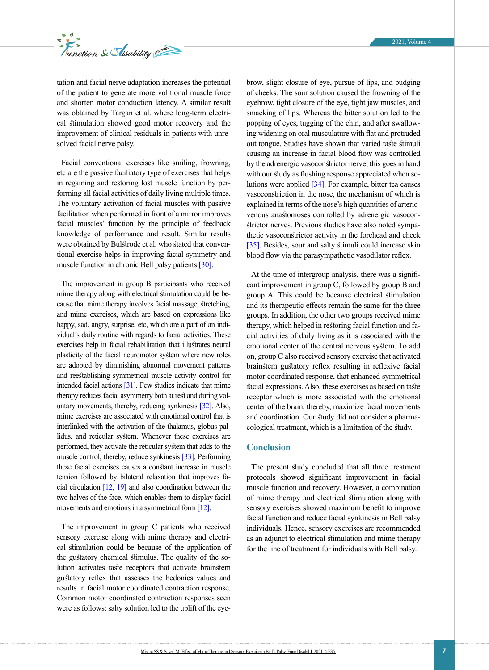

tation and facial nerve adaptation increases the potential of the patient to generate more volitional muscle force and shorten motor conduction latency. A similar result was obtained by Targan et al. where long-term electrical stimulation showed good motor recovery and the improvement of clinical residuals in patients with unresolved facial nerve palsy.

Facial conventional exercises like smiling, frowning, etc are the passive faciliatory type of exercises that helps in regaining and restoring lost muscle function by performing all facial activities of daily living multiple times. The voluntary activation of facial muscles with passive facilitation when performed in front of a mirror improves facial muscles' function by the principle of feedback knowledge of performance and result. Similar results were obtained by Bulstrode et al. who stated that conventional exercise helps in improving facial symmetry and muscle function in chronic Bell palsy patients [\[30\]](#page-8-3).

The improvement in group B participants who received mime therapy along with electrical stimulation could be because that mime therapy involves facial massage, stretching, and mime exercises, which are based on expressions like happy, sad, angry, surprise, etc, which are a part of an individual's daily routine with regards to facial activities. These exercises help in facial rehabilitation that illustrates neural plasticity of the facial neuromotor system where new roles are adopted by diminishing abnormal movement patterns and reestablishing symmetrical muscle activity control for intended facial actions  $[31]$ . Few studies indicate that mime therapy reduces facial asymmetry both at rest and during voluntary movements, thereby, reducing synkinesis [\[32\]](#page-8-4). Also, mime exercises are associated with emotional control that is interlinked with the activation of the thalamus, globus pallidus, and reticular system. Whenever these exercises are performed, they activate the reticular system that adds to the muscle control, thereby, reduce synkinesis [\[33\].](#page-8-5) Performing these facial exercises causes a constant increase in muscle tension followed by bilateral relaxation that improves facial circulation [\[12,](#page-7-4) [19\]](#page-7-7) and also coordination between the two halves of the face, which enables them to display facial movements and emotions in a symmetrical form [\[12\]](#page-7-4).

The improvement in group C patients who received sensory exercise along with mime therapy and electrical stimulation could be because of the application of the gustatory chemical stimulus. The quality of the solution activates taste receptors that activate brainstem gustatory reflex that assesses the hedonics values and results in facial motor coordinated contraction response. Common motor coordinated contraction responses seen were as follows: salty solution led to the uplift of the eyebrow, slight closure of eye, pursue of lips, and budging of cheeks. The sour solution caused the frowning of the eyebrow, tight closure of the eye, tight jaw muscles, and smacking of lips. Whereas the bitter solution led to the popping of eyes, tugging of the chin, and after swallowing widening on oral musculature with flat and protruded out tongue. Studies have shown that varied taste stimuli causing an increase in facial blood flow was controlled by the adrenergic vasoconstrictor nerve; this goes in hand with our study as flushing response appreciated when solutions were applied [34]. For example, bitter tea causes vasoconstriction in the nose, the mechanism of which is explained in terms of the nose's high quantities of arteriovenous anastomoses controlled by adrenergic vasoconstrictor nerves. Previous studies have also noted sympathetic vasoconstrictor activity in the forehead and cheek [\[35\]](#page-8-6). Besides, sour and salty stimuli could increase skin blood flow via the parasympathetic vasodilator reflex.

At the time of intergroup analysis, there was a significant improvement in group C, followed by group B and group A. This could be because electrical stimulation and its therapeutic effects remain the same for the three groups. In addition, the other two groups received mime therapy, which helped in restoring facial function and facial activities of daily living as it is associated with the emotional center of the central nervous system. To add on, group C also received sensory exercise that activated brainstem gustatory reflex resulting in reflexive facial motor coordinated response, that enhanced symmetrical facial expressions. Also, these exercises as based on taste receptor which is more associated with the emotional center of the brain, thereby, maximize facial movements and coordination. Our study did not consider a pharmacological treatment, which is a limitation of the study.

## **Conclusion**

The present study concluded that all three treatment protocols showed significant improvement in facial muscle function and recovery. However, a combination of mime therapy and electrical stimulation along with sensory exercises showed maximum benefit to improve facial function and reduce facial synkinesis in Bell palsy individuals. Hence, sensory exercises are recommended as an adjunct to electrical stimulation and mime therapy for the line of treatment for individuals with Bell palsy.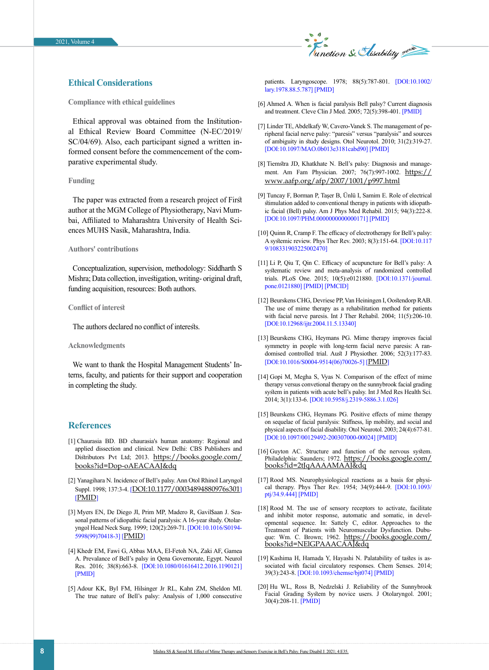

### **Ethical Considerations**

**Compliance with ethical guidelines**

Ethical approval was obtained from the Institutional Ethical Review Board Committee (N-EC/2019/ SC/04/69). Also, each participant signed a written informed consent before the commencement of the comparative experimental study.

#### **Funding**

The paper was extracted from a research project of First author at the MGM College of Physiotherapy, Navi Mumbai, Affiliated to Maharashtra University of Health Sciences MUHS Nasik, Maharashtra, India.

#### **Authors' contributions**

Conceptualization, supervision, methodology: Siddharth S Mishra; Data collection, investigation, writing- original draft, funding acquisition, resources: Both authors.

#### **Conflict of interest**

The authors declared no conflict of interests.

#### **Acknowledgments**

We want to thank the Hospital Management Students' Interns, faculty, and patients for their support and cooperation in completing the study.

#### **References**

- <span id="page-7-0"></span>[1] Chaurasia BD. BD chaurasia's human anatomy: Regional and applied dissection and clinical. New Delhi: CBS Publishers and Distributors Pvt Ltd; 2013. [https://books.google.com/](https://books.google.com/books?id=Dop-oAEACAAJ&dq=Human+Anatomy+Regional+And+Applied+Dissection&hl=fa&sa=X&ved=2ahUKEwi2oM-eo9jxAhWOi1wKHRMUBUwQ6AEwAXoECAoQAQ) [books?id=Dop-oAEACAAJ&dq](https://books.google.com/books?id=Dop-oAEACAAJ&dq=Human+Anatomy+Regional+And+Applied+Dissection&hl=fa&sa=X&ved=2ahUKEwi2oM-eo9jxAhWOi1wKHRMUBUwQ6AEwAXoECAoQAQ)
- <span id="page-7-1"></span>[2] Yanagihara N. Incidence of Bell's palsy. Ann Otol Rhinol Laryngol Suppl. 1998; 137:3-4. [[DOI:10.1177/00034894880976s301](https://doi.org/10.1177/00034894880976s301)] [[PMID](https://pubmed.ncbi.nlm.nih.gov/3144231/)]
- <span id="page-7-2"></span>[3] Myers EN, De Diego JI, Prim MP, Madero R, Gavil\$aan J. Seasonal patterns of idiopathic facial paralysis: A 16-year study. Otolaryngol Head Neck Surg. 1999; 120(2):269-71. [[DOI:10.1016/S0194-](https://doi.org/10.1016/S0194-5998(99)70418-3) [5998\(99\)70418-3](https://doi.org/10.1016/S0194-5998(99)70418-3)] [[PMID](https://pubmed.ncbi.nlm.nih.gov/9949364/)]
- [4] Khedr EM, Fawi G, Abbas MAA, El-Fetoh NA, Zaki AF, Gamea A. Prevalance of Bell's palsy in Qena Governorate, Egypt. Neurol Res. 2016; 38(8):663-8. [\[DOI:10.1080/01616412.2016.1190121](https://doi.org/10.1080/01616412.2016.1190121)] [\[PMID\]](https://www.ncbi.nlm.nih.gov/pubmed/27238882)
- [5] Adour KK, Byl FM, Hilsinger Jr RL, Kahn ZM, Sheldon MI. The true nature of Bell's palsy: Analysis of 1,000 consecutive

patients. Laryngoscope. 1978; 88(5):787-801. [\[DOI:10.1002/](https://doi.org/10.1002/lary.1978.88.5.787) [lary.1978.88.5.787\]](https://doi.org/10.1002/lary.1978.88.5.787) [[PMID](https://www.ncbi.nlm.nih.gov/pubmed/642672)]

- <span id="page-7-3"></span>[6] Ahmed A. When is facial paralysis Bell palsy? Current diagnosis and treatment. Cleve Clin J Med. 2005; 72(5):398-401. [[PMID](https://www.ncbi.nlm.nih.gov/pubmed/15929453)]
- [7] Linder TE, Abdelkafy W, Cavero-Vanek S. The management of peripheral facial nerve palsy: "paresis" versus "paralysis" and sources of ambiguity in study designs. Otol Neurotol. 2010; 31(2):319-27. [[DOI:10.1097/MAO.0b013e3181cabd90](https://doi.org/10.1097/MAO.0b013e3181cabd90)] [\[PMID\]](https://www.ncbi.nlm.nih.gov/pubmed/20009779)
- [8] Tiemstra JD, Khatkhate N. Bell's palsy: Diagnosis and management. Am Fam Physician. 2007; 76(7):997-1002. [https://](https://www.aafp.org/afp/2007/1001/p997.html) [www.aafp.org/afp/2007/1001/p997.html](https://www.aafp.org/afp/2007/1001/p997.html)
- [9] Tuncay F, Borman P, Taşer B, Ünlü I, Samim E. Role of electrical stimulation added to conventional therapy in patients with idiopathic facial (Bell) palsy. Am J Phys Med Rehabil. 2015; 94(3):222-8. [[DOI:10.1097/PHM.0000000000000171](https://doi.org/10.1097/PHM.0000000000000171)] [\[PMID\]](https://www.ncbi.nlm.nih.gov/pubmed/25171666)
- [10] Quinn R, Cramp F. The efficacy of electrotherapy for Bell's palsy: A systemic review. Phys Ther Rev. 2003; 8(3):151-64. [[DOI:10.117](https://doi.org/10.1179/108331903225002470) [9/108331903225002470\]](https://doi.org/10.1179/108331903225002470)
- [11] Li P, Qiu T, Qin C. Efficacy of acupuncture for Bell's palsy: A systematic review and meta-analysis of randomized controlled trials. PLoS One. 2015; 10(5):e0121880. [[DOI:10.1371/journal.](https://doi.org/10.1371/journal.pone.0121880) [pone.0121880](https://doi.org/10.1371/journal.pone.0121880)] [\[PMID\]](https://www.ncbi.nlm.nih.gov/pubmed/25974022) [\[PMCID](http://www.ncbi.nlm.nih.gov/pmc/articles/PMC4431843)]
- <span id="page-7-4"></span>[12] Beurskens CHG, Devriese PP, Van Heiningen I, Oostendorp RAB. The use of mime therapy as a rehabilitation method for patients with facial nerve paresis. Int J Ther Rehabil. 2004; 11(5):206-10. [[DOI:10.12968/ijtr.2004.11.5.13340\]](https://doi.org/10.12968/ijtr.2004.11.5.13340)
- <span id="page-7-5"></span>[13] Beurskens CHG, Heymans PG. Mime therapy improves facial symmetry in people with long-term facial nerve paresis: A randomised controlled trial. Aust J Physiother. 2006; 52(3):177-83. [[DOI:10.1016/S0004-9514\(06\)70026-5](https://doi.org/10.1016/S0004-9514(06)70026-5)] [[PMID](https://pubmed.ncbi.nlm.nih.gov/16942452/)]
- <span id="page-7-9"></span>[14] Gopi M, Megha S, Vyas N. Comparison of the effect of mime therapy versus convetional therapy on the sunnybrook facial grading system in patients with acute bell's palsy. Int J Med Res Health Sci. 2014; 3(1):133-6. [[DOI:10.5958/j.2319-5886.3.1.026](https://doi.org/10.5958/j.2319-5886.3.1.026)]
- [15] Beurskens CHG, Heymans PG. Positive effects of mime therapy on sequelae of facial paralysis: Stiffness, lip mobility, and social and physical aspects of facial disability. Otol Neurotol. 2003; 24(4):677-81. [[DOI:10.1097/00129492-200307000-00024\]](https://doi.org/10.1097/00129492-200307000-00024) [[PMID](https://www.ncbi.nlm.nih.gov/pubmed/12851564)]
- <span id="page-7-6"></span>[16] Guyton AC. Structure and function of the nervous system. Philadelphia: Saunders; 1972. [https://books.google.com/](https://books.google.com/books?id=2tJqAAAAMAAJ&dq=Structure%20and%20function%20of%20the%20nervous%20system&source=gbs_book_other_versions) [books?id=2tJqAAAAMAAJ&dq](https://books.google.com/books?id=2tJqAAAAMAAJ&dq=Structure%20and%20function%20of%20the%20nervous%20system&source=gbs_book_other_versions)
- [17] Rood MS. Neurophysiological reactions as a basis for physical therapy. Phys Ther Rev. 1954; 34(9):444-9. [[DOI:10.1093/](https://doi.org/10.1093/ptj/34.9.444) [ptj/34.9.444\]](https://doi.org/10.1093/ptj/34.9.444) [[PMID](https://www.ncbi.nlm.nih.gov/pubmed/13194374)]
- [18] Rood M. The use of sensory receptors to activate, facilitate and inhibit motor response, automatic and somatic, in developmental sequence. In: Sattely C, editor. Approaches to the Treatment of Patients with Neuromuscular Dysfunction. Dubuque: Wm. C. Brown; 1962. [https://books.google.com/](https://books.google.com/books?id=NElGPAAACAAJ&dq=Approaches+to+the+treatment+of+patients+with+neuromuscular+dysfunction&hl=fa&sa=X&ved=2ahUKEwiKrtL5sdjxAhWMYsAKHezVAr0Q6AEwAnoECAMQAQ) [books?id=NElGPAAACAAJ&dq](https://books.google.com/books?id=NElGPAAACAAJ&dq=Approaches+to+the+treatment+of+patients+with+neuromuscular+dysfunction&hl=fa&sa=X&ved=2ahUKEwiKrtL5sdjxAhWMYsAKHezVAr0Q6AEwAnoECAMQAQ)
- <span id="page-7-7"></span>[19] Kashima H, Hamada Y, Hayashi N. Palatability of tastes is associated with facial circulatory responses. Chem Senses. 2014: 39(3):243-8. [[DOI:10.1093/chemse/bjt074](https://doi.org/10.1093/chemse/bjt074)] [\[PMID\]](https://www.ncbi.nlm.nih.gov/pubmed/24391145)
- <span id="page-7-8"></span>[20] Hu WL, Ross B, Nedzelski J. Reliability of the Sunnybrook Facial Grading System by novice users. J Otolaryngol. 2001; 30(4):208-11. [\[PMID\]](https://www.ncbi.nlm.nih.gov/pubmed/11771031)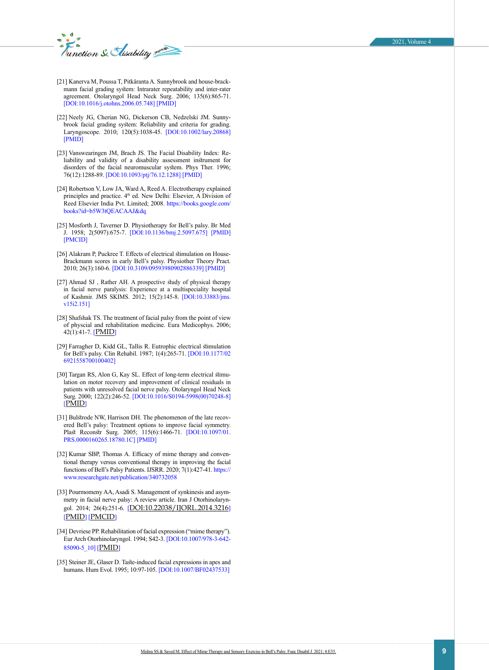unction & Elisability

- [21] Kanerva M, Poussa T, Pitkäranta A. Sunnybrook and house-brackmann facial grading system: Intrarater repeatability and inter-rater agreement. Otolaryngol Head Neck Surg. 2006; 135(6):865-71. [[DOI:10.1016/j.otohns.2006.05.748\]](https://doi.org/10.1016/j.otohns.2006.05.748) [[PMID](https://www.ncbi.nlm.nih.gov/pubmed/17141075)]
- <span id="page-8-0"></span>[22] Neely JG, Cherian NG, Dickerson CB, Nedzelski JM. Sunnybrook facial grading system: Reliability and criteria for grading. Laryngoscope. 2010; 120(5):1038-45. [\[DOI:10.1002/lary.20868](https://doi.org/10.1002/lary.20868)] [[PMID](https://www.ncbi.nlm.nih.gov/pubmed/20422701)]
- [23] Vanswearingen JM, Brach JS. The Facial Disability Index: Reliability and validity of a disability assessment instrument for disorders of the facial neuromuscular system. Phys Ther. 1996; 76(12):1288-89. [\[DOI:10.1093/ptj/76.12.1288\]](https://doi.org/10.1093/ptj/76.12.1288) [\[PMID](https://www.ncbi.nlm.nih.gov/pubmed/8959998)]
- [24] Robertson V, Low JA, Ward A, Reed A. Electrotherapy explained principles and practice. 4<sup>th</sup> ed. New Delhi: Elsevier, A Division of Reed Elsevier India Pvt. Limited; 2008. https://books.google.com/ books?id=b5W3tQEACAAJ&dq
- [25] Mosforth J, Taverner D. Physiotherapy for Bell's palsy. Br Med J. 1958; 2(5097):675-7. [\[DOI:10.1136/bmj.2.5097.675](https://doi.org/10.1136/bmj.2.5097.675)] [[PMID](https://www.ncbi.nlm.nih.gov/pubmed/13572865)] [[PMCID\]](http://www.ncbi.nlm.nih.gov/pmc/articles/PMC2026410)
- [26] Alakram P, Puckree T. Effects of electrical stimulation on House-Brackmann scores in early Bell's palsy. Physiother Theory Pract. 2010; 26(3):160-6. [\[DOI:10.3109/09593980902886339\]](https://doi.org/10.3109/09593980902886339) [[PMID](https://www.ncbi.nlm.nih.gov/pubmed/20331372)]
- <span id="page-8-1"></span>[27] Ahmad SJ, Rather AH. A prospective study of physical therapy in facial nerve paralysis: Experience at a multispeciality hospital of Kashmir. JMS SKIMS. 2012; 15(2):145-8. [\[DOI:10.33883/jms.](https://doi.org/10.33883/jms.v15i2.151) [v15i2.151\]](https://doi.org/10.33883/jms.v15i2.151)
- <span id="page-8-2"></span>[28] Shafshak TS. The treatment of facial palsy from the point of view of physcial and rehabilitation medicine. Eura Medicophys. 2006; 42(1):41-7. [[PMID](https://pubmed.ncbi.nlm.nih.gov/16565685/)]
- [29] Farragher D, Kidd GL, Tallis R. Eutrophic electrical stimulation for Bell's palsy. Clin Rehabil. 1987; 1(4):265-71. [\[DOI:10.1177/02](https://doi.org/10.1177/026921558700100402) [6921558700100402](https://doi.org/10.1177/026921558700100402)]
- <span id="page-8-3"></span>[30] Targan RS, Alon G, Kay SL. Effect of long-term electrical stimulation on motor recovery and improvement of clinical residuals in patients with unresolved facial nerve palsy. Otolaryngol Head Neck Surg. 2000; 122(2):246-52. [[DOI:10.1016/S0194-5998\(00\)70248-8](https://doi.org/10.1016/S0194-5998(00)70248-8)] [[PMID](https://pubmed.ncbi.nlm.nih.gov/10652399/)]
- [31] Bulstrode NW, Harrison DH. The phenomenon of the late recovered Bell's palsy: Treatment options to improve facial symmetry. Plast Reconstr Surg. 2005; 115(6):1466-71. [[DOI:10.1097/01.](https://doi.org/10.1097/01.PRS.0000160265.18780.1C) [PRS.0000160265.18780.1C](https://doi.org/10.1097/01.PRS.0000160265.18780.1C)] [\[PMID\]](https://www.ncbi.nlm.nih.gov/pubmed/15861048)
- <span id="page-8-4"></span>[32] Kumar SBP, Thomas A. Efficacy of mime therapy and conventional therapy versus conventional therapy in improving the facial functions of Bell's Palsy Patients. IJSRR. 2020; 7(1):427-41. [https://](https://www.researchgate.net/publication/340732058_International_Journal_of_Scientific_Research_and_Reviews_Efficacy_of_Mime_Therapy_and_Conventional_Therapy_Versus_Conventional_Therapy_in_Improving_the_Facial_Functions_of_Bell%27s_Palsy_Patients) [www.researchgate.net/publication/340732058](https://www.researchgate.net/publication/340732058_International_Journal_of_Scientific_Research_and_Reviews_Efficacy_of_Mime_Therapy_and_Conventional_Therapy_Versus_Conventional_Therapy_in_Improving_the_Facial_Functions_of_Bell%27s_Palsy_Patients)
- <span id="page-8-5"></span>[33] Pourmomeny AA, Asadi S. Management of synkinesis and asymmetry in facial nerve palsy: A review article. Iran J Otorhinolaryn-gol. 2014; 26(4):251-6. [[DOI:10.22038/IJORL.2014.3216](https://ijorl.mums.ac.ir/article_3216.html)] [[PMID](https://pubmed.ncbi.nlm.nih.gov/25320703/)] [[PMCID](http://www.ncbi.nlm.nih.gov/pmc/articles/pmc4196449/)]
- [34] Devriese PP. Rehabilitation of facial expression ("mime therapy"). Eur Arch Otorhinolaryngol. 1994; S42-3. [\[DOI:10.1007/978-3-642-](https://doi.org/10.1007/978-3-642-85090-5_10) [85090-5\\_10\]](https://doi.org/10.1007/978-3-642-85090-5_10) [[PMID](https://pubmed.ncbi.nlm.nih.gov/10774308/)]
- <span id="page-8-6"></span>[35] Steiner JE, Glaser D. Taste-induced facial expressions in apes and humans. Hum Evol. 1995; 10:97-105. [\[DOI:10.1007/BF02437533\]](https://doi.org/10.1007/BF02437533)